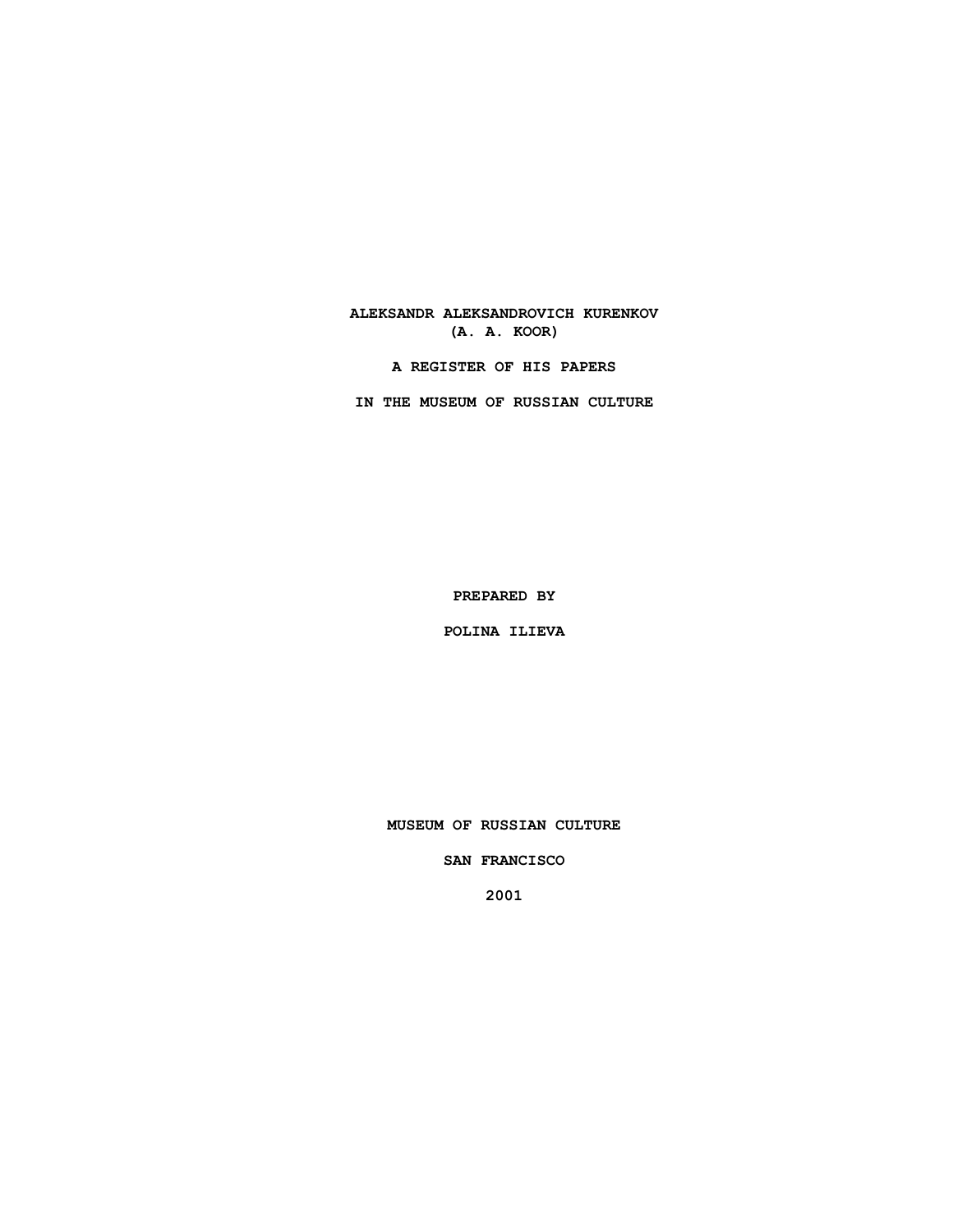## **ALEKSANDR ALEKSANDROVICH KURENKOV (A. A. KOOR)**

**A REGISTER OF HIS PAPERS**

**IN THE MUSEUM OF RUSSIAN CULTURE**

**PREPARED BY**

**POLINA ILIEVA**

**MUSEUM OF RUSSIAN CULTURE**

**SAN FRANCISCO**

**2001**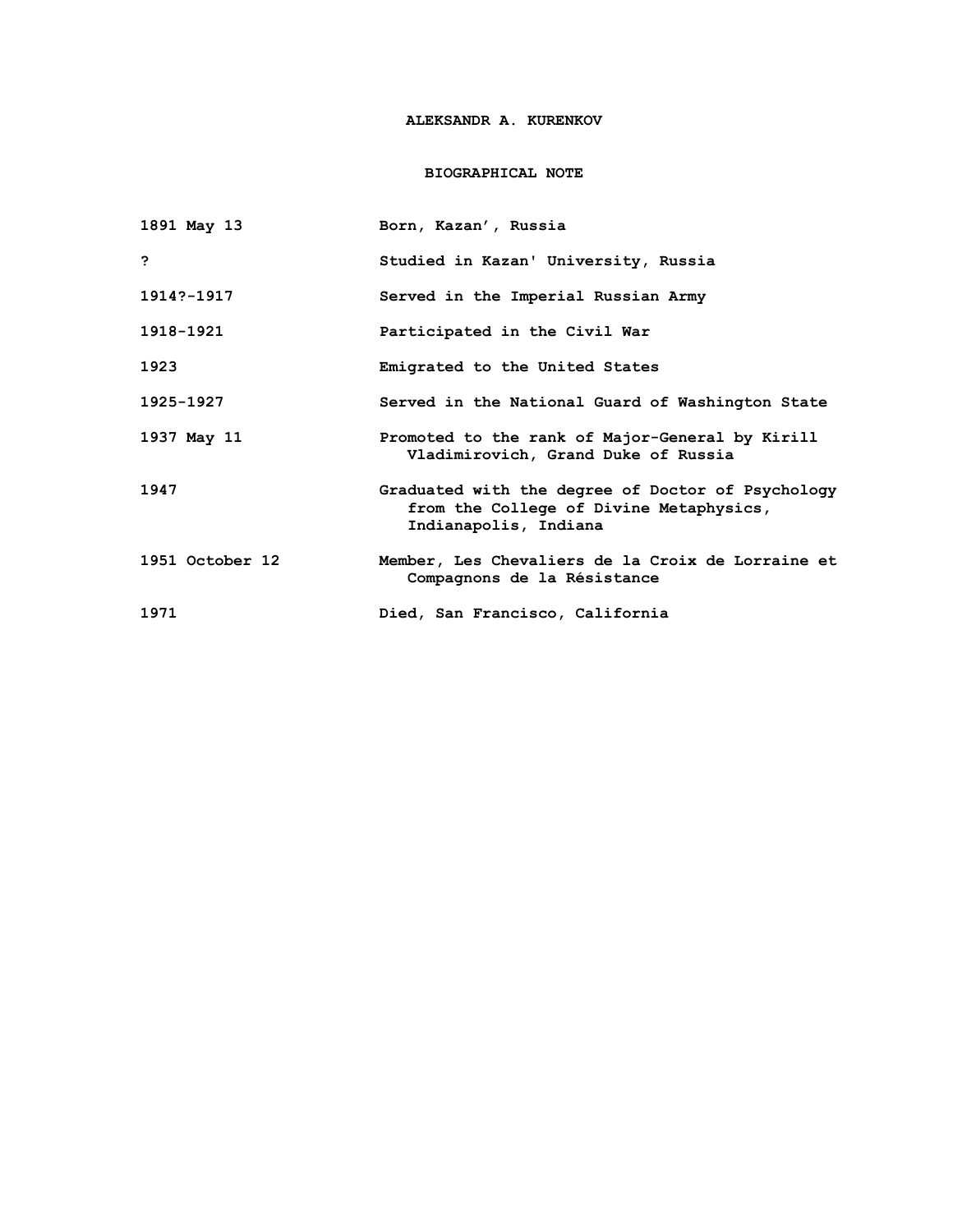# **ALEKSANDR A. KURENKOV**

### **BIOGRAPHICAL NOTE**

| 1891 May 13     | Born, Kazan', Russia                                                                                                  |
|-----------------|-----------------------------------------------------------------------------------------------------------------------|
| <b>P</b>        | Studied in Kazan' University, Russia                                                                                  |
| 1914?-1917      | Served in the Imperial Russian Army                                                                                   |
| 1918-1921       | Participated in the Civil War                                                                                         |
| 1923            | Emigrated to the United States                                                                                        |
| 1925-1927       | Served in the National Guard of Washington State                                                                      |
| 1937 May 11     | Promoted to the rank of Major-General by Kirill<br>Vladimirovich, Grand Duke of Russia                                |
| 1947            | Graduated with the degree of Doctor of Psychology<br>from the College of Divine Metaphysics,<br>Indianapolis, Indiana |
| 1951 October 12 | Member, Les Chevaliers de la Croix de Lorraine et<br>Compagnons de la Résistance                                      |
| 1971            | Died, San Francisco, California                                                                                       |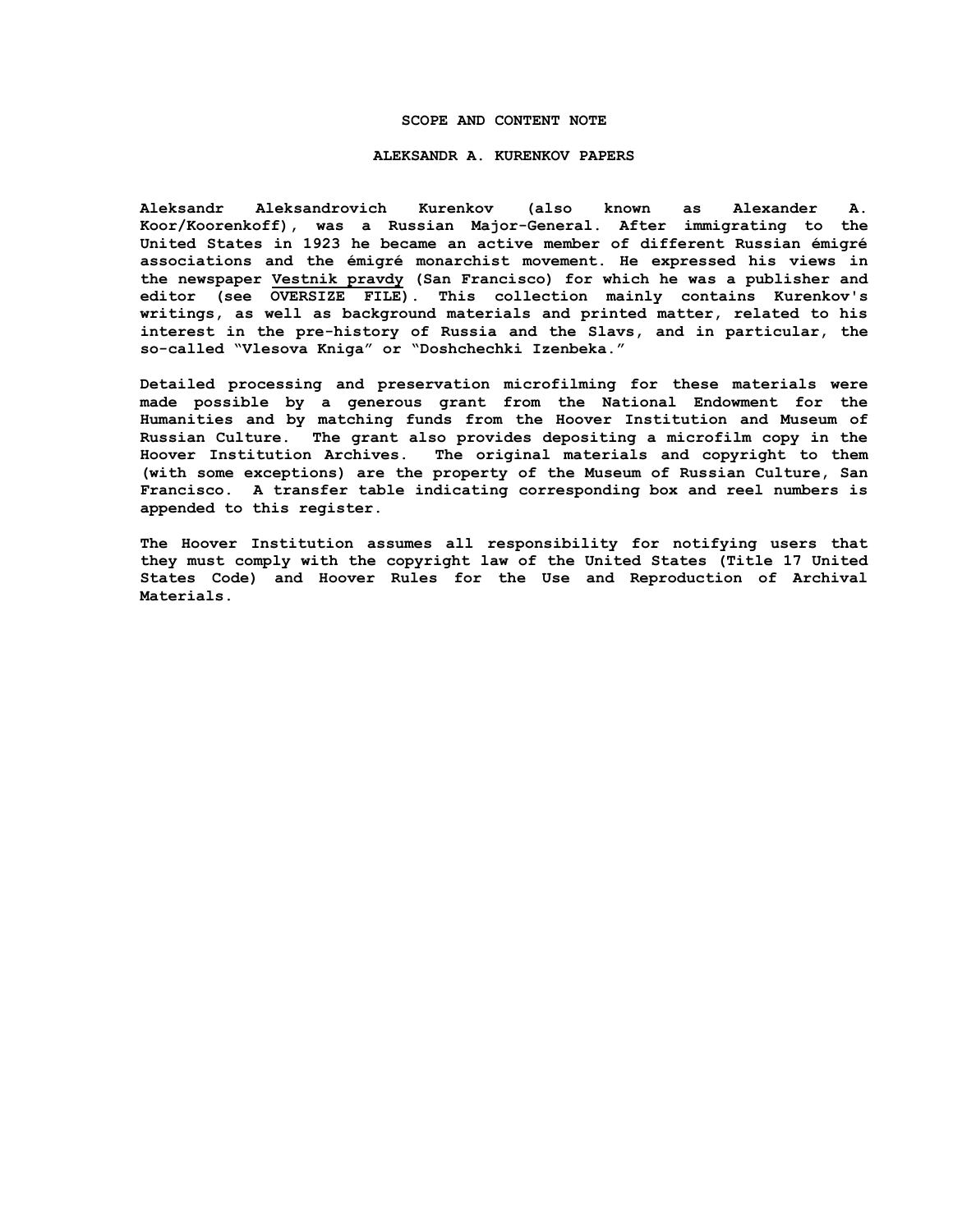#### **SCOPE AND CONTENT NOTE**

#### **ALEKSANDR A. KURENKOV PAPERS**

**Aleksandr Aleksandrovich Kurenkov (also known as Alexander A. Koor/Koorenkoff), was a Russian Major-General. After immigrating to the United States in 1923 he became an active member of different Russian émigré associations and the émigré monarchist movement. He expressed his views in the newspaper Vestnik pravdy (San Francisco) for which he was a publisher and editor (see OVERSIZE FILE). This collection mainly contains Kurenkov's writings, as well as background materials and printed matter, related to his interest in the pre-history of Russia and the Slavs, and in particular, the so-called "Vlesova Kniga" or "Doshchechki Izenbeka."** 

**Detailed processing and preservation microfilming for these materials were made possible by a generous grant from the National Endowment for the Humanities and by matching funds from the Hoover Institution and Museum of Russian Culture. The grant also provides depositing a microfilm copy in the Hoover Institution Archives. The original materials and copyright to them (with some exceptions) are the property of the Museum of Russian Culture, San Francisco. A transfer table indicating corresponding box and reel numbers is appended to this register.**

**The Hoover Institution assumes all responsibility for notifying users that they must comply with the copyright law of the United States (Title 17 United States Code) and Hoover Rules for the Use and Reproduction of Archival Materials.**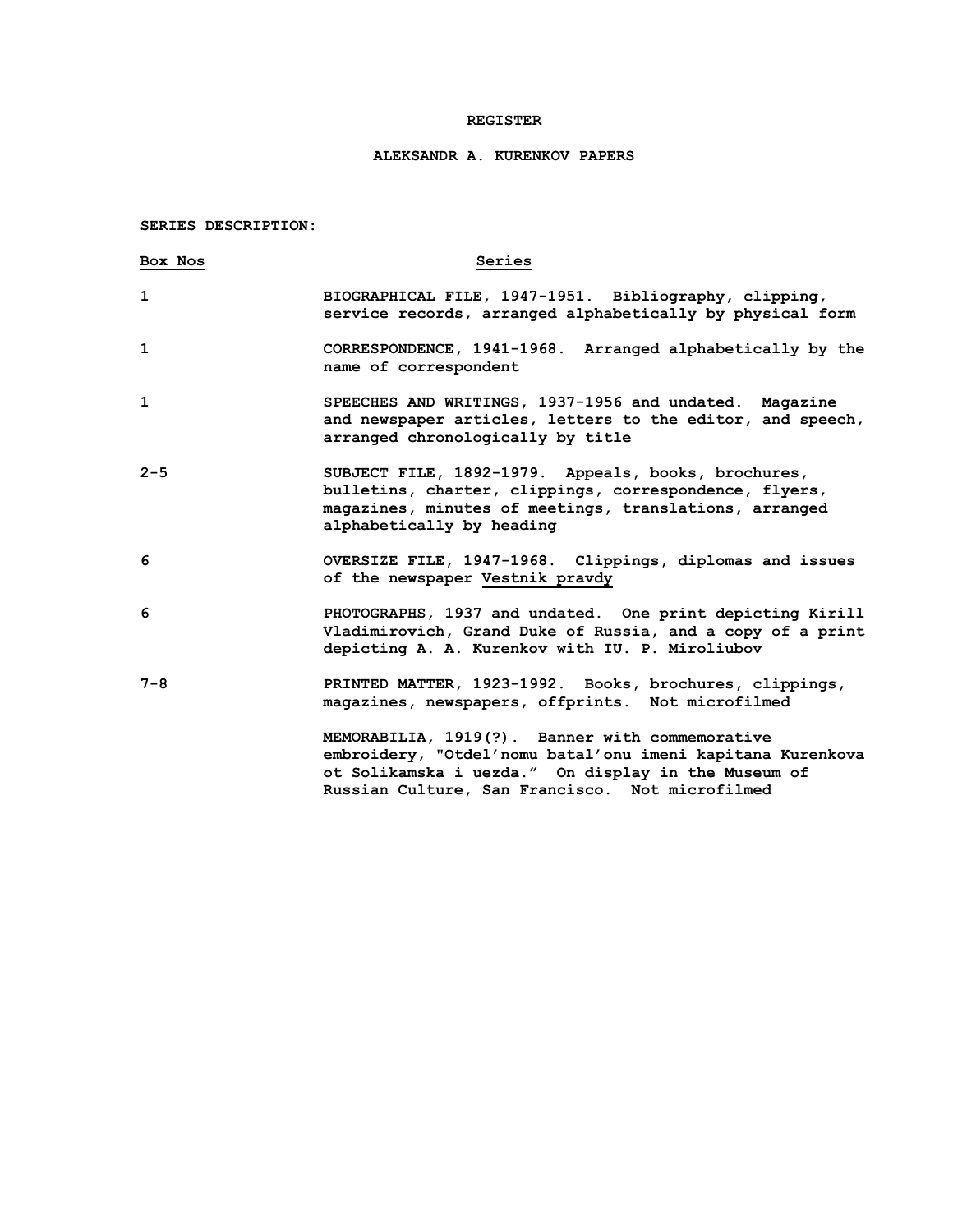### **REGISTER**

# **ALEKSANDR A. KURENKOV PAPERS**

**SERIES DESCRIPTION:**

| Box Nos      | Series                                                                                                                                                                                                                  |
|--------------|-------------------------------------------------------------------------------------------------------------------------------------------------------------------------------------------------------------------------|
| 1            | BIOGRAPHICAL FILE, 1947-1951. Bibliography, clipping,<br>service records, arranged alphabetically by physical form                                                                                                      |
| $\mathbf{1}$ | CORRESPONDENCE, 1941-1968. Arranged alphabetically by the<br>name of correspondent                                                                                                                                      |
| $\mathbf{1}$ | SPEECHES AND WRITINGS, 1937-1956 and undated. Magazine<br>and newspaper articles, letters to the editor, and speech,<br>arranged chronologically by title                                                               |
| $2 - 5$      | SUBJECT FILE, 1892-1979. Appeals, books, brochures,<br>bulletins, charter, clippings, correspondence, flyers,<br>magazines, minutes of meetings, translations, arranged<br>alphabetically by heading                    |
| 6            | OVERSIZE FILE, 1947-1968. Clippings, diplomas and issues<br>of the newspaper Vestnik pravdy                                                                                                                             |
| 6            | PHOTOGRAPHS, 1937 and undated. One print depicting Kirill<br>Vladimirovich, Grand Duke of Russia, and a copy of a print<br>depicting A. A. Kurenkov with IU. P. Miroliubov                                              |
| $7 - 8$      | PRINTED MATTER, 1923-1992. Books, brochures, clippings,<br>magazines, newspapers, offprints. Not microfilmed                                                                                                            |
|              | MEMORABILIA, 1919(?). Banner with commemorative<br>embroidery, "Otdel'nomu batal'onu imeni kapitana Kurenkova<br>ot Solikamska i uezda." On display in the Museum of<br>Russian Culture, San Francisco. Not microfilmed |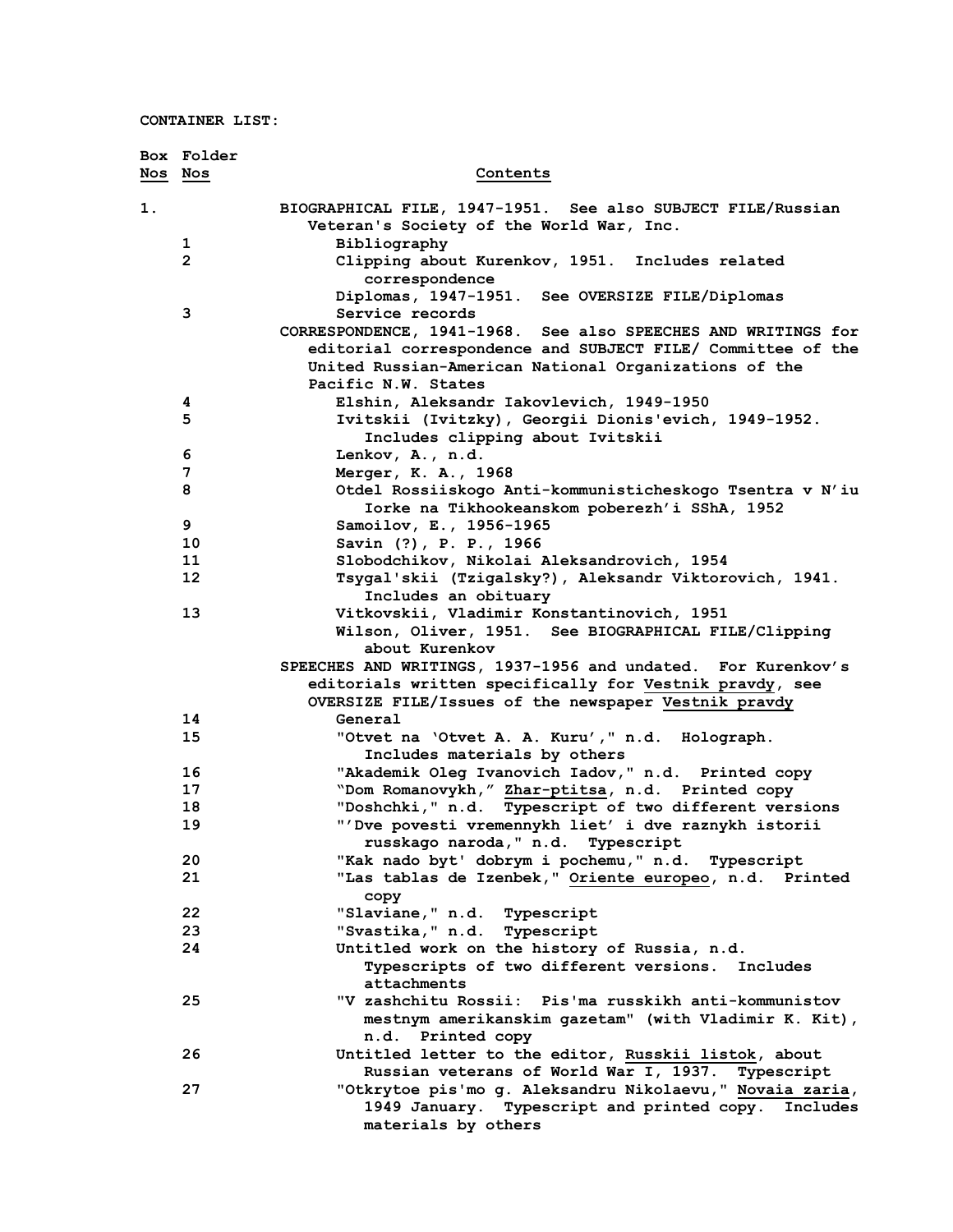|         | Box Folder     |                                                                                                                              |
|---------|----------------|------------------------------------------------------------------------------------------------------------------------------|
| Nos Nos |                | Contents                                                                                                                     |
| 1.      |                | BIOGRAPHICAL FILE, 1947-1951. See also SUBJECT FILE/Russian                                                                  |
|         |                | Veteran's Society of the World War, Inc.                                                                                     |
|         | 1              | Bibliography                                                                                                                 |
|         | $\overline{2}$ | Clipping about Kurenkov, 1951. Includes related                                                                              |
|         |                | correspondence                                                                                                               |
|         |                | Diplomas, 1947-1951. See OVERSIZE FILE/Diplomas                                                                              |
|         | 3              | Service records                                                                                                              |
|         |                | CORRESPONDENCE, 1941-1968. See also SPEECHES AND WRITINGS for<br>editorial correspondence and SUBJECT FILE/ Committee of the |
|         |                | United Russian-American National Organizations of the                                                                        |
|         |                | Pacific N.W. States                                                                                                          |
|         | 4              | Elshin, Aleksandr Iakovlevich, 1949-1950                                                                                     |
|         | 5              | Ivitskii (Ivitzky), Georgii Dionis'evich, 1949-1952.                                                                         |
|         |                | Includes clipping about Ivitskii                                                                                             |
|         | 6              | Lenkov, A., n.d.                                                                                                             |
|         | 7              | Merger, K. A., 1968                                                                                                          |
|         | 8              | Otdel Rossiiskogo Anti-kommunisticheskogo Tsentra v N'iu                                                                     |
|         |                | Iorke na Tikhookeanskom poberezh'i SShA, 1952                                                                                |
|         | 9              | Samoilov, E., 1956-1965                                                                                                      |
|         | 10             | Savin (?), P. P., 1966                                                                                                       |
|         | 11             | Slobodchikov, Nikolai Aleksandrovich, 1954                                                                                   |
|         | 12             | Tsygal'skii (Tzigalsky?), Aleksandr Viktorovich, 1941.                                                                       |
|         |                | Includes an obituary                                                                                                         |
|         | 13             | Vitkovskii, Vladimir Konstantinovich, 1951                                                                                   |
|         |                | Wilson, Oliver, 1951. See BIOGRAPHICAL FILE/Clipping                                                                         |
|         |                | about Kurenkov<br>SPEECHES AND WRITINGS, 1937-1956 and undated. For Kurenkov's                                               |
|         |                | editorials written specifically for Vestnik pravdy, see                                                                      |
|         |                | OVERSIZE FILE/Issues of the newspaper Vestnik pravdy                                                                         |
|         | 14             | General                                                                                                                      |
|         | 15             | "Otvet na 'Otvet A. A. Kuru', " n.d. Holograph.                                                                              |
|         |                | Includes materials by others                                                                                                 |
|         | 16             | "Akademik Oleg Ivanovich Iadov," n.d. Printed copy                                                                           |
|         | 17             | "Dom Romanovykh," Zhar-ptitsa, n.d. Printed copy                                                                             |
|         | 18             | "Doshchki," n.d. Typescript of two different versions                                                                        |
|         | 19             | "'Dve povesti vremennykh liet' i dve raznykh istorii                                                                         |
|         |                | russkago naroda," n.d. Typescript                                                                                            |
|         | 20             | "Kak nado byt' dobrym i pochemu," n.d. Typescript                                                                            |
|         | 21             | "Las tablas de Izenbek," Oriente europeo, n.d. Printed                                                                       |
|         | 22             | copy                                                                                                                         |
|         | 23             | "Slaviane, " n.d. Typescript<br>"Svastika, " n.d. Typescript                                                                 |
|         | 24             | Untitled work on the history of Russia, n.d.                                                                                 |
|         |                | Typescripts of two different versions. Includes                                                                              |
|         |                | attachments                                                                                                                  |
|         | 25             | "V zashchitu Rossii: Pis'ma russkikh anti-kommunistov                                                                        |
|         |                | mestnym amerikanskim gazetam" (with Vladimir K. Kit),                                                                        |
|         |                | n.d. Printed copy                                                                                                            |
|         | 26             | Untitled letter to the editor, Russkii listok, about                                                                         |
|         |                | Russian veterans of World War I, 1937. Typescript                                                                            |
|         | 27             | "Otkrytoe pis'mo g. Aleksandru Nikolaevu," Novaia zaria,                                                                     |
|         |                | 1949 January. Typescript and printed copy. Includes                                                                          |
|         |                | materials by others                                                                                                          |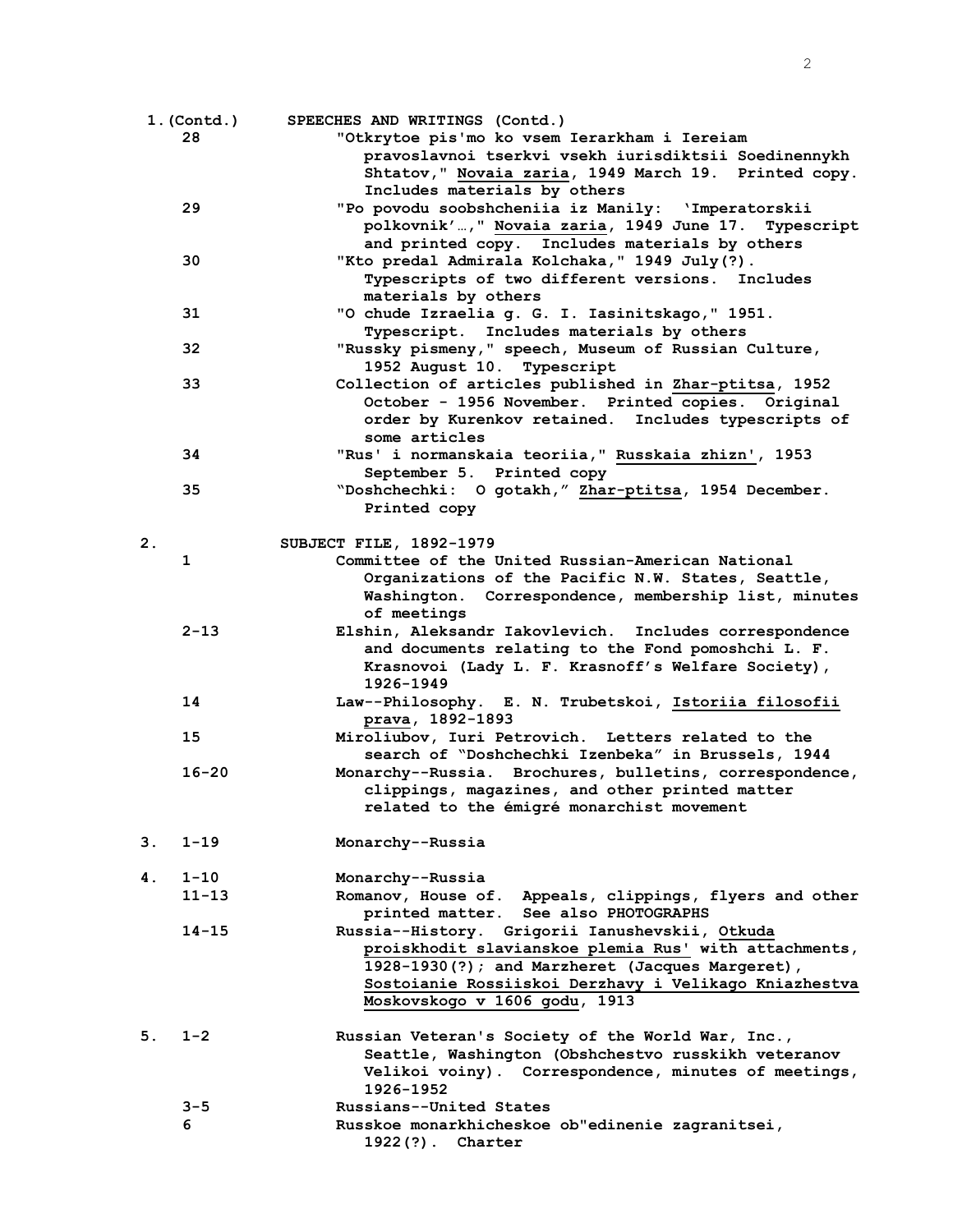|    | 1. (Contd.) | SPEECHES AND WRITINGS (Contd.)                          |
|----|-------------|---------------------------------------------------------|
|    | 28          | "Otkrytoe pis'mo ko vsem Ierarkham i Iereiam            |
|    |             | pravoslavnoi tserkvi vsekh iurisdiktsii Soedinennykh    |
|    |             | Shtatov," Novaia zaria, 1949 March 19. Printed copy.    |
|    |             | Includes materials by others                            |
|    | 29          | "Po povodu soobshcheniia iz Manily: 'Imperatorskii      |
|    |             | polkovnik', " Novaia zaria, 1949 June 17. Typescript    |
|    |             | and printed copy. Includes materials by others          |
|    | 30          | "Kto predal Admirala Kolchaka," 1949 July(?).           |
|    |             | Typescripts of two different versions. Includes         |
|    |             |                                                         |
|    |             | materials by others                                     |
|    | 31          | "O chude Izraelia g. G. I. Iasinitskago," 1951.         |
|    |             | Typescript. Includes materials by others                |
|    | 32          | "Russky pismeny," speech, Museum of Russian Culture,    |
|    |             | 1952 August 10. Typescript                              |
|    | 33          | Collection of articles published in Zhar-ptitsa, 1952   |
|    |             | October - 1956 November. Printed copies. Original       |
|    |             | order by Kurenkov retained. Includes typescripts of     |
|    |             | some articles                                           |
|    | 34          | "Rus' i normanskaia teoriia," Russkaia zhizn', 1953     |
|    |             | September 5. Printed copy                               |
|    | 35          | "Doshchechki: O gotakh," Zhar-ptitsa, 1954 December.    |
|    |             | Printed copy                                            |
|    |             |                                                         |
| 2. |             | SUBJECT FILE, 1892-1979                                 |
|    | 1           | Committee of the United Russian-American National       |
|    |             | Organizations of the Pacific N.W. States, Seattle,      |
|    |             | Washington. Correspondence, membership list, minutes    |
|    |             | of meetings                                             |
|    | $2 - 13$    |                                                         |
|    |             | Elshin, Aleksandr Iakovlevich. Includes correspondence  |
|    |             | and documents relating to the Fond pomoshchi L. F.      |
|    |             | Krasnovoi (Lady L. F. Krasnoff's Welfare Society),      |
|    |             | 1926-1949                                               |
|    | 14          | Law--Philosophy. E. N. Trubetskoi, Istoriia filosofii   |
|    |             | prava, 1892-1893                                        |
|    | 15          | Miroliubov, Iuri Petrovich. Letters related to the      |
|    |             | search of "Doshchechki Izenbeka" in Brussels, 1944      |
|    | $16 - 20$   | Monarchy--Russia. Brochures, bulletins, correspondence, |
|    |             | clippings, magazines, and other printed matter          |
|    |             | related to the émigré monarchist movement               |
|    |             |                                                         |
| 3. | $1 - 19$    | Monarchy--Russia                                        |
|    |             |                                                         |
| 4. | $1 - 10$    | Monarchy--Russia                                        |
|    | $11 - 13$   | Romanov, House of. Appeals, clippings, flyers and other |
|    |             | printed matter. See also PHOTOGRAPHS                    |
|    | $14 - 15$   | Russia--History. Grigorii Ianushevskii, Otkuda          |
|    |             | proiskhodit slavianskoe plemia Rus' with attachments,   |
|    |             | 1928-1930(?); and Marzheret (Jacques Margeret),         |
|    |             | Sostoianie Rossiiskoi Derzhavy i Velikago Kniazhestva   |
|    |             |                                                         |
|    |             | Moskovskogo v 1606 godu, 1913                           |
|    |             |                                                         |
| 5. | $1 - 2$     | Russian Veteran's Society of the World War, Inc.,       |
|    |             | Seattle, Washington (Obshchestvo russkikh veteranov     |
|    |             | Velikoi voiny). Correspondence, minutes of meetings,    |
|    |             | 1926-1952                                               |
|    | 3-5         | Russians--United States                                 |
|    | 6           | Russkoe monarkhicheskoe ob"edinenie zagranitsei,        |
|    |             | 1922(?). Charter                                        |